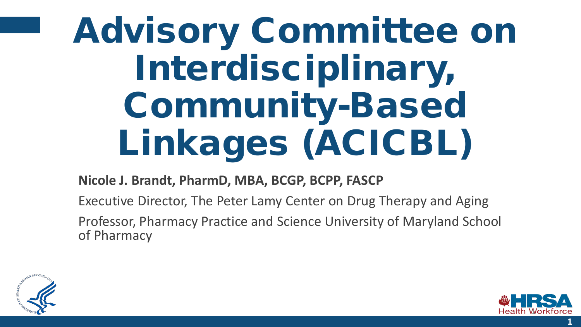# Advisory Committee on Interdisciplinary, Community-Based Linkages (ACICBL)

#### **Nicole J. Brandt, PharmD, MBA, BCGP, BCPP, FASCP**

Executive Director, The Peter Lamy Center on Drug Therapy and Aging Professor, Pharmacy Practice and Science University of Maryland School of Pharmacy



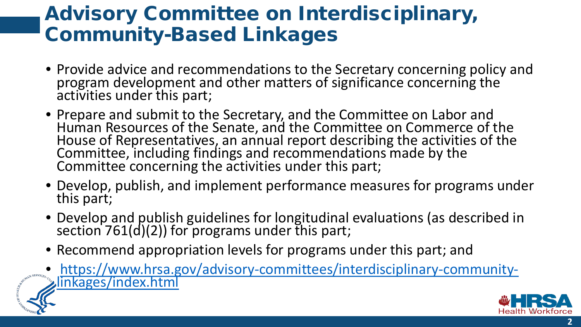#### Advisory Committee on Interdisciplinary, Community-Based Linkages

- Provide advice and recommendations to the Secretary concerning policy and program development and other matters of significance concerning the activities under this part;
- Prepare and submit to the Secretary, and the Committee on Labor and Human Resources of the Senate, and the Committee on Commerce of the House of Representatives, an annual report describing the activities of the Committee, including findings and recommendations made by the Committee concerning the activities under this part;
- Develop, publish, and implement performance measures for programs under this part;
- Develop and publish guidelines for longitudinal evaluations (as described in section 761(d)(2)) for programs under this part;
- Recommend appropriation levels for programs under this part; and
- [https://www.hrsa.gov/advisory-committees/interdisciplinary-community-](https://www.hrsa.gov/advisory-committees/interdisciplinary-community-linkages/index.html) linkages/index.html



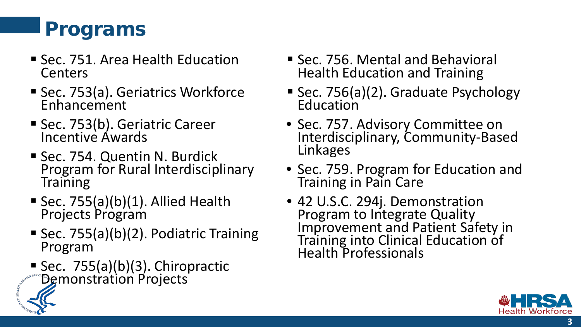### Programs

- Sec. 751. Area Health Education **Centers**
- Sec. 753(a). Geriatrics Workforce Enhancement
- Sec. 753(b). Geriatric Career Incentive Awards
- Sec. 754. Quentin N. Burdick Program for Rural Interdisciplinary Training
- Sec. 755(a)(b)(1). Allied Health Projects Program
- Sec. 755(a)(b)(2). Podiatric Training Program
- Sec.  $755(a)(b)(3)$ . Chiropractic Demonstration Projects
- Sec. 756. Mental and Behavioral Health Education and Training
- Sec. 756(a)(2). Graduate Psychology Education
- Sec. 757. Advisory Committee on Interdisciplinary, Community-Based Linkages
- Sec. 759. Program for Education and Training in Pain Care
- 42 U.S.C. 294j. Demonstration Improvement and Patient Safety in Training into Clinical Education of Health Professionals



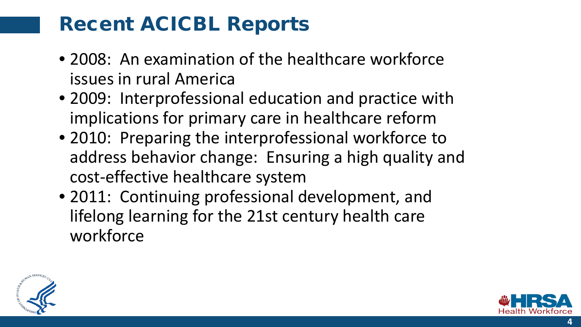#### Recent ACICBL Reports

- 2008: An examination of the healthcare workforce issues in rural America
- 2009: Interprofessional education and practice with implications for primary care in healthcare reform
- 2010: Preparing the interprofessional workforce to address behavior change: Ensuring a high quality and cost-effective healthcare system
- 2011: Continuing professional development, and lifelong learning for the 21st century health care workforce



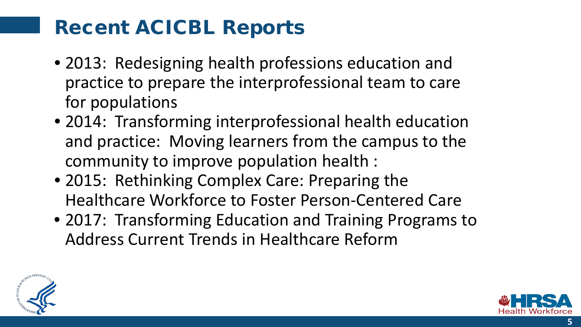#### Recent ACICBL Reports

- 2013: Redesigning health professions education and practice to prepare the interprofessional team to care for populations
- 2014: Transforming interprofessional health education and practice: Moving learners from the campus to the community to improve population health :
- 2015: Rethinking Complex Care: Preparing the Healthcare Workforce to Foster Person-Centered Care
- 2017: Transforming Education and Training Programs to Address Current Trends in Healthcare Reform



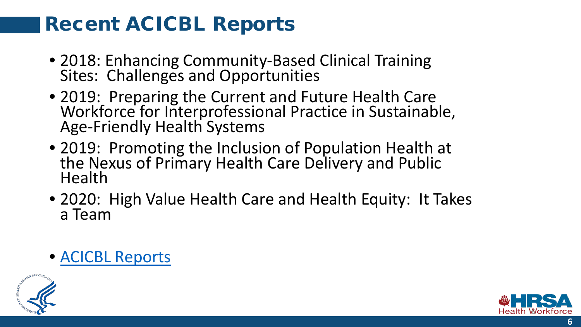#### Recent ACICBL Reports

- 2018: Enhancing Community-Based Clinical Training Sites: Challenges and Opportunities
- 2019: Preparing the Current and Future Health Care Workforce for Interprofessional Practice in Sustainable, Age-Friendly Health Systems
- 2019: Promoting the Inclusion of Population Health at the Nexus of Primary Health Care Delivery and Public Health
- 2020: High Value Health Care and Health Equity: It Takes a Team
- [ACICBL Reports](https://www.hrsa.gov/advisory-committees/interdisciplinary-community-linkages/reports.html)